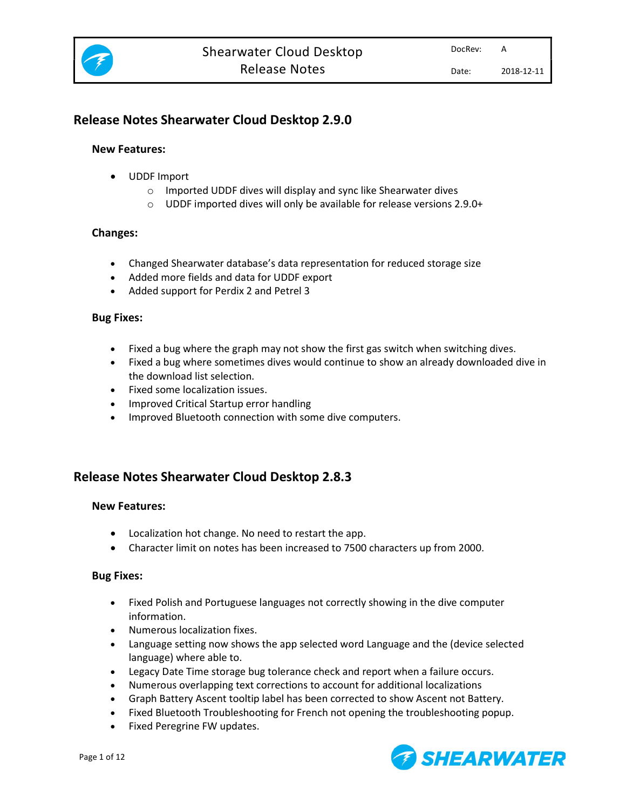

# Release Notes Shearwater Cloud Desktop 2.9.0

### New Features:

- UDDF Import
	- o Imported UDDF dives will display and sync like Shearwater dives
	- o UDDF imported dives will only be available for release versions 2.9.0+

### Changes:

- Changed Shearwater database's data representation for reduced storage size
- Added more fields and data for UDDF export
- Added support for Perdix 2 and Petrel 3

#### Bug Fixes:

- Fixed a bug where the graph may not show the first gas switch when switching dives.
- Fixed a bug where sometimes dives would continue to show an already downloaded dive in the download list selection.
- Fixed some localization issues.
- Improved Critical Startup error handling
- Improved Bluetooth connection with some dive computers.

# Release Notes Shearwater Cloud Desktop 2.8.3

## New Features:

- Localization hot change. No need to restart the app.
- Character limit on notes has been increased to 7500 characters up from 2000.

## Bug Fixes:

- Fixed Polish and Portuguese languages not correctly showing in the dive computer information.
- Numerous localization fixes.
- Language setting now shows the app selected word Language and the (device selected language) where able to.
- Legacy Date Time storage bug tolerance check and report when a failure occurs.
- Numerous overlapping text corrections to account for additional localizations
- Graph Battery Ascent tooltip label has been corrected to show Ascent not Battery.
- Fixed Bluetooth Troubleshooting for French not opening the troubleshooting popup.
- Fixed Peregrine FW updates.

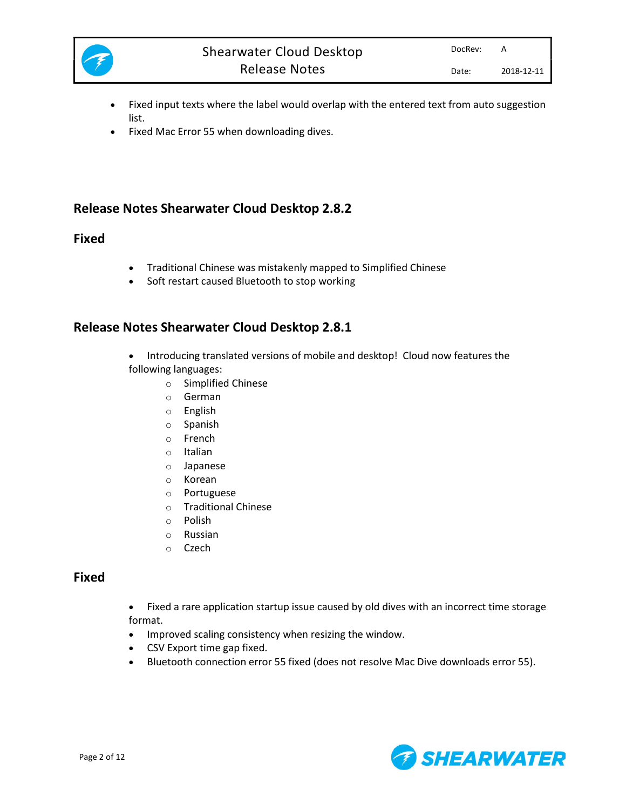

- Fixed input texts where the label would overlap with the entered text from auto suggestion list.
- Fixed Mac Error 55 when downloading dives.

## Release Notes Shearwater Cloud Desktop 2.8.2

## Fixed

- Traditional Chinese was mistakenly mapped to Simplified Chinese
- Soft restart caused Bluetooth to stop working

## Release Notes Shearwater Cloud Desktop 2.8.1

- Introducing translated versions of mobile and desktop! Cloud now features the following languages:
	- o Simplified Chinese
	- o German
	- o English
	- o Spanish
	- o French
	- o Italian
	- o Japanese
	- o Korean
	- o Portuguese
	- o Traditional Chinese
	- o Polish
	- o Russian
	- o Czech

## Fixed

- Fixed a rare application startup issue caused by old dives with an incorrect time storage format.
- Improved scaling consistency when resizing the window.
- CSV Export time gap fixed.
- Bluetooth connection error 55 fixed (does not resolve Mac Dive downloads error 55).

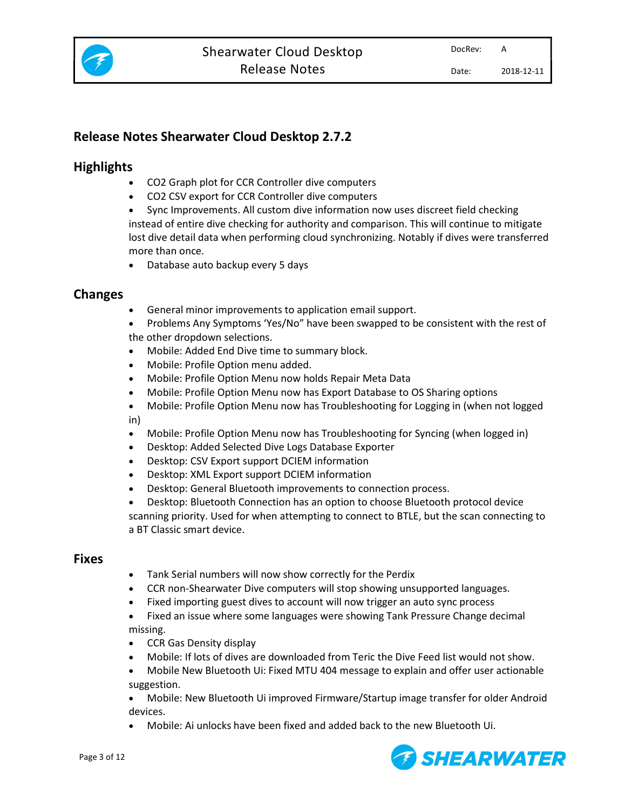

# Release Notes Shearwater Cloud Desktop 2.7.2

# **Highlights**

- CO2 Graph plot for CCR Controller dive computers
- CO2 CSV export for CCR Controller dive computers
- Sync Improvements. All custom dive information now uses discreet field checking instead of entire dive checking for authority and comparison. This will continue to mitigate lost dive detail data when performing cloud synchronizing. Notably if dives were transferred more than once.
- Database auto backup every 5 days

# Changes

- General minor improvements to application email support.
- Problems Any Symptoms 'Yes/No" have been swapped to be consistent with the rest of the other dropdown selections.
- Mobile: Added End Dive time to summary block.
- Mobile: Profile Option menu added.
- Mobile: Profile Option Menu now holds Repair Meta Data
- Mobile: Profile Option Menu now has Export Database to OS Sharing options
- Mobile: Profile Option Menu now has Troubleshooting for Logging in (when not logged in)
- Mobile: Profile Option Menu now has Troubleshooting for Syncing (when logged in)
- Desktop: Added Selected Dive Logs Database Exporter
- Desktop: CSV Export support DCIEM information
- Desktop: XML Export support DCIEM information
- Desktop: General Bluetooth improvements to connection process.
- Desktop: Bluetooth Connection has an option to choose Bluetooth protocol device

scanning priority. Used for when attempting to connect to BTLE, but the scan connecting to a BT Classic smart device.

## Fixes

- Tank Serial numbers will now show correctly for the Perdix
- CCR non-Shearwater Dive computers will stop showing unsupported languages.
- Fixed importing guest dives to account will now trigger an auto sync process
- Fixed an issue where some languages were showing Tank Pressure Change decimal missing.
- CCR Gas Density display
- Mobile: If lots of dives are downloaded from Teric the Dive Feed list would not show.
- Mobile New Bluetooth Ui: Fixed MTU 404 message to explain and offer user actionable suggestion.

 Mobile: New Bluetooth Ui improved Firmware/Startup image transfer for older Android devices.

Mobile: Ai unlocks have been fixed and added back to the new Bluetooth Ui.

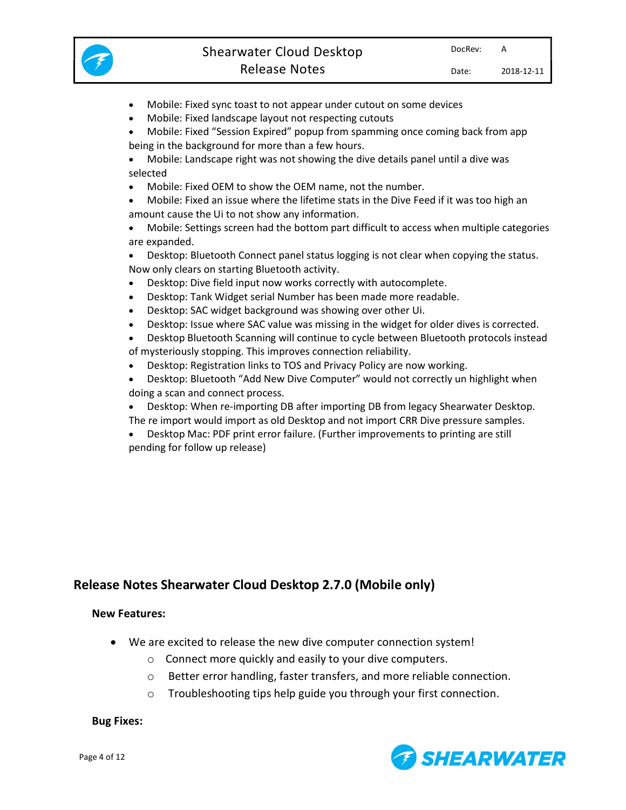

- Mobile: Fixed sync toast to not appear under cutout on some devices
- Mobile: Fixed landscape layout not respecting cutouts

 Mobile: Fixed "Session Expired" popup from spamming once coming back from app being in the background for more than a few hours.

- Mobile: Landscape right was not showing the dive details panel until a dive was selected
- Mobile: Fixed OEM to show the OEM name, not the number.

 Mobile: Fixed an issue where the lifetime stats in the Dive Feed if it was too high an amount cause the Ui to not show any information.

 Mobile: Settings screen had the bottom part difficult to access when multiple categories are expanded.

 Desktop: Bluetooth Connect panel status logging is not clear when copying the status. Now only clears on starting Bluetooth activity.

- Desktop: Dive field input now works correctly with autocomplete.
- Desktop: Tank Widget serial Number has been made more readable.
- Desktop: SAC widget background was showing over other Ui.
- Desktop: Issue where SAC value was missing in the widget for older dives is corrected.
- Desktop Bluetooth Scanning will continue to cycle between Bluetooth protocols instead of mysteriously stopping. This improves connection reliability.
- Desktop: Registration links to TOS and Privacy Policy are now working.
- Desktop: Bluetooth "Add New Dive Computer" would not correctly un highlight when doing a scan and connect process.
- Desktop: When re-importing DB after importing DB from legacy Shearwater Desktop.
- The re import would import as old Desktop and not import CRR Dive pressure samples.
- Desktop Mac: PDF print error failure. (Further improvements to printing are still pending for follow up release)

## Release Notes Shearwater Cloud Desktop 2.7.0 (Mobile only)

### New Features:

- We are excited to release the new dive computer connection system!
	- o Connect more quickly and easily to your dive computers.
	- o Better error handling, faster transfers, and more reliable connection.
	- o Troubleshooting tips help guide you through your first connection.

#### Bug Fixes:

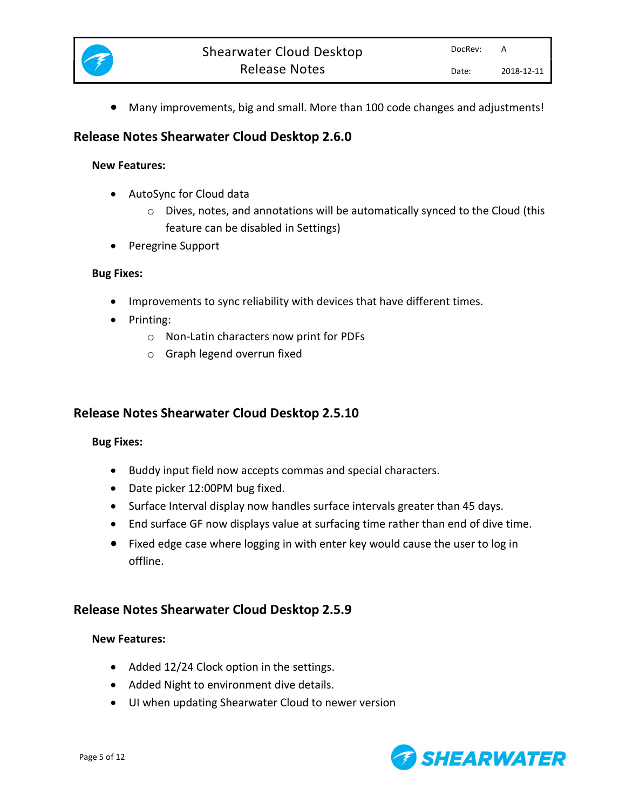

Many improvements, big and small. More than 100 code changes and adjustments!

# Release Notes Shearwater Cloud Desktop 2.6.0

### New Features:

- AutoSync for Cloud data
	- o Dives, notes, and annotations will be automatically synced to the Cloud (this feature can be disabled in Settings)
- Peregrine Support

### Bug Fixes:

- Improvements to sync reliability with devices that have different times.
- Printing:
	- o Non-Latin characters now print for PDFs
	- o Graph legend overrun fixed

# Release Notes Shearwater Cloud Desktop 2.5.10

## Bug Fixes:

- Buddy input field now accepts commas and special characters.
- Date picker 12:00PM bug fixed.
- Surface Interval display now handles surface intervals greater than 45 days.
- End surface GF now displays value at surfacing time rather than end of dive time.
- Fixed edge case where logging in with enter key would cause the user to log in offline.

# Release Notes Shearwater Cloud Desktop 2.5.9

### New Features:

- Added 12/24 Clock option in the settings.
- Added Night to environment dive details.
- UI when updating Shearwater Cloud to newer version

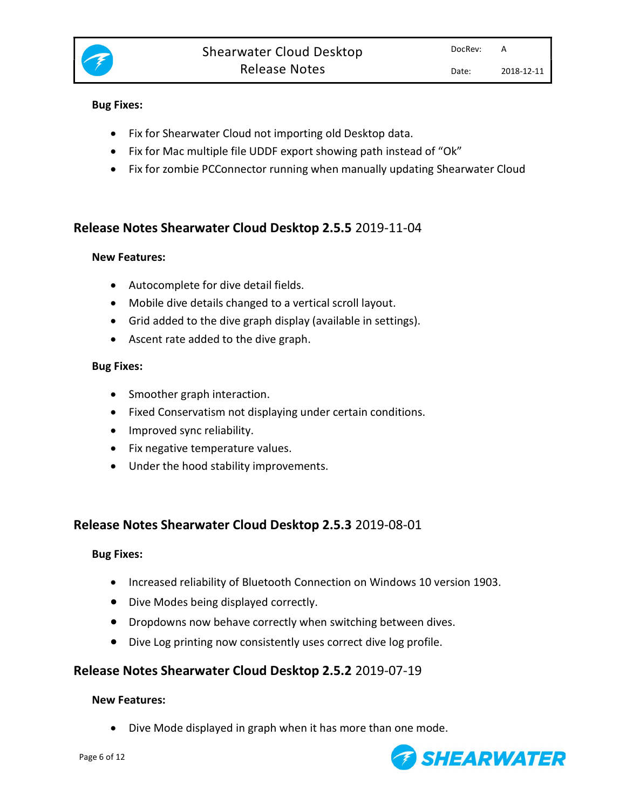

### Bug Fixes:

- Fix for Shearwater Cloud not importing old Desktop data.
- Fix for Mac multiple file UDDF export showing path instead of "Ok"
- Fix for zombie PCConnector running when manually updating Shearwater Cloud

# Release Notes Shearwater Cloud Desktop 2.5.5 2019-11-04

### New Features:

- Autocomplete for dive detail fields.
- Mobile dive details changed to a vertical scroll layout.
- Grid added to the dive graph display (available in settings).
- Ascent rate added to the dive graph.

### Bug Fixes:

- Smoother graph interaction.
- Fixed Conservatism not displaying under certain conditions.
- Improved sync reliability.
- Fix negative temperature values.
- Under the hood stability improvements.

## Release Notes Shearwater Cloud Desktop 2.5.3 2019-08-01

### Bug Fixes:

- Increased reliability of Bluetooth Connection on Windows 10 version 1903.
- Dive Modes being displayed correctly.
- Dropdowns now behave correctly when switching between dives.
- Dive Log printing now consistently uses correct dive log profile.

## Release Notes Shearwater Cloud Desktop 2.5.2 2019-07-19

### New Features:

Dive Mode displayed in graph when it has more than one mode.

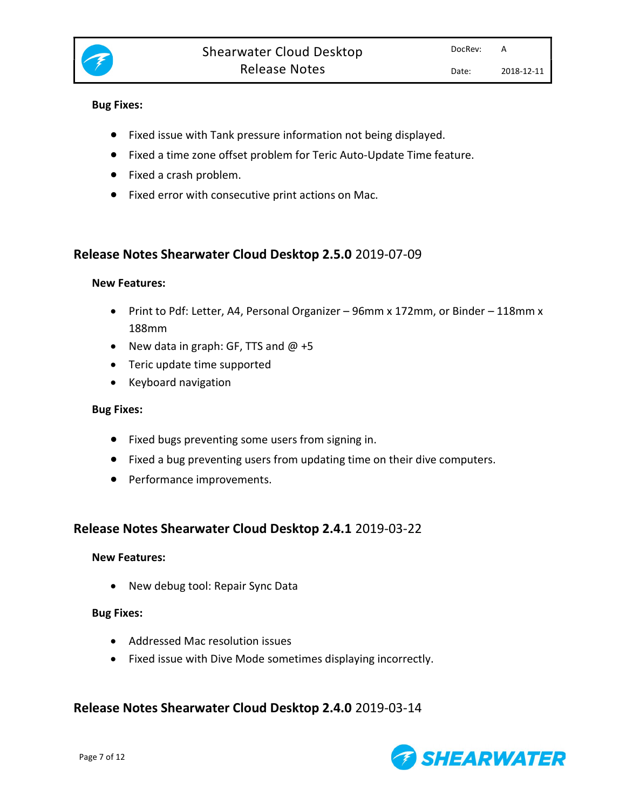

### Bug Fixes:

- Fixed issue with Tank pressure information not being displayed.
- Fixed a time zone offset problem for Teric Auto-Update Time feature.
- Fixed a crash problem.
- Fixed error with consecutive print actions on Mac.

## Release Notes Shearwater Cloud Desktop 2.5.0 2019-07-09

### New Features:

- Print to Pdf: Letter, A4, Personal Organizer 96mm x 172mm, or Binder 118mm x 188mm
- New data in graph: GF, TTS and  $@ + 5$
- Teric update time supported
- Keyboard navigation

### Bug Fixes:

- Fixed bugs preventing some users from signing in.
- Fixed a bug preventing users from updating time on their dive computers.
- Performance improvements.

# Release Notes Shearwater Cloud Desktop 2.4.1 2019-03-22

### New Features:

• New debug tool: Repair Sync Data

### Bug Fixes:

- Addressed Mac resolution issues
- Fixed issue with Dive Mode sometimes displaying incorrectly.

## Release Notes Shearwater Cloud Desktop 2.4.0 2019-03-14

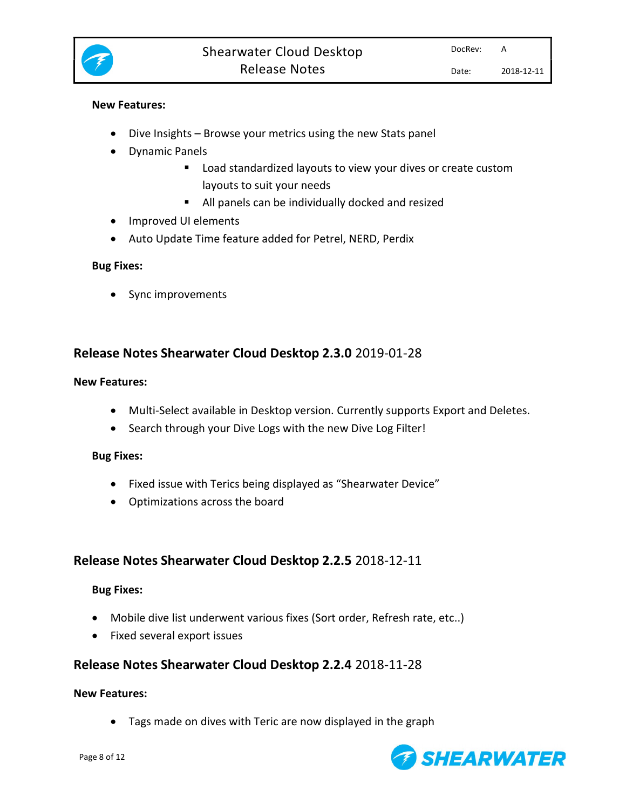

### New Features:

- Dive Insights Browse your metrics using the new Stats panel
- Dynamic Panels
	- **E** Load standardized layouts to view your dives or create custom layouts to suit your needs
	- All panels can be individually docked and resized
- Improved UI elements
- Auto Update Time feature added for Petrel, NERD, Perdix

#### Bug Fixes:

• Sync improvements

## Release Notes Shearwater Cloud Desktop 2.3.0 2019-01-28

#### New Features:

- Multi-Select available in Desktop version. Currently supports Export and Deletes.
- Search through your Dive Logs with the new Dive Log Filter!

#### Bug Fixes:

- Fixed issue with Terics being displayed as "Shearwater Device"
- Optimizations across the board

## Release Notes Shearwater Cloud Desktop 2.2.5 2018-12-11

### Bug Fixes:

- Mobile dive list underwent various fixes (Sort order, Refresh rate, etc..)
- Fixed several export issues

## Release Notes Shearwater Cloud Desktop 2.2.4 2018-11-28

#### New Features:

Tags made on dives with Teric are now displayed in the graph

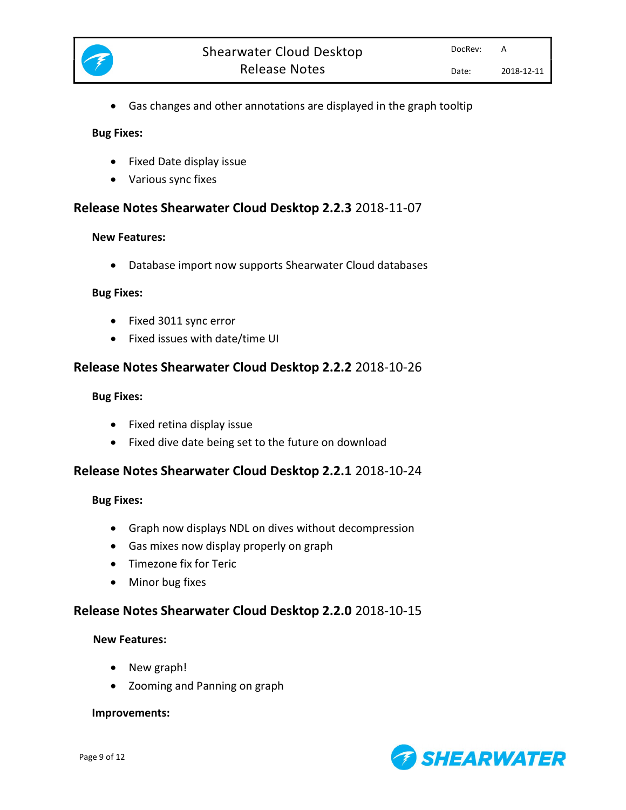

Gas changes and other annotations are displayed in the graph tooltip

#### Bug Fixes:

- Fixed Date display issue
- Various sync fixes

## Release Notes Shearwater Cloud Desktop 2.2.3 2018-11-07

#### New Features:

Database import now supports Shearwater Cloud databases

#### Bug Fixes:

- Fixed 3011 sync error
- Fixed issues with date/time UI

## Release Notes Shearwater Cloud Desktop 2.2.2 2018-10-26

#### Bug Fixes:

- Fixed retina display issue
- Fixed dive date being set to the future on download

## Release Notes Shearwater Cloud Desktop 2.2.1 2018-10-24

### Bug Fixes:

- Graph now displays NDL on dives without decompression
- Gas mixes now display properly on graph
- Timezone fix for Teric
- Minor bug fixes

## Release Notes Shearwater Cloud Desktop 2.2.0 2018-10-15

### New Features:

- New graph!
- Zooming and Panning on graph

#### Improvements:

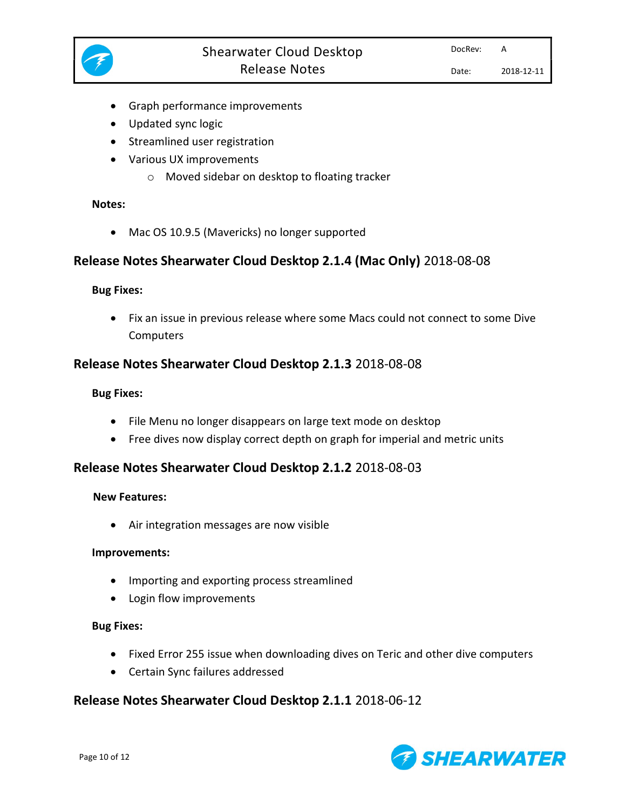

- Graph performance improvements
- Updated sync logic
- Streamlined user registration
- Various UX improvements
	- o Moved sidebar on desktop to floating tracker

### Notes:

• Mac OS 10.9.5 (Mavericks) no longer supported

## Release Notes Shearwater Cloud Desktop 2.1.4 (Mac Only) 2018-08-08

### Bug Fixes:

 Fix an issue in previous release where some Macs could not connect to some Dive **Computers** 

## Release Notes Shearwater Cloud Desktop 2.1.3 2018-08-08

### Bug Fixes:

- File Menu no longer disappears on large text mode on desktop
- Free dives now display correct depth on graph for imperial and metric units

## Release Notes Shearwater Cloud Desktop 2.1.2 2018-08-03

### New Features:

Air integration messages are now visible

### Improvements:

- Importing and exporting process streamlined
- Login flow improvements

### Bug Fixes:

- Fixed Error 255 issue when downloading dives on Teric and other dive computers
- Certain Sync failures addressed

## Release Notes Shearwater Cloud Desktop 2.1.1 2018-06-12

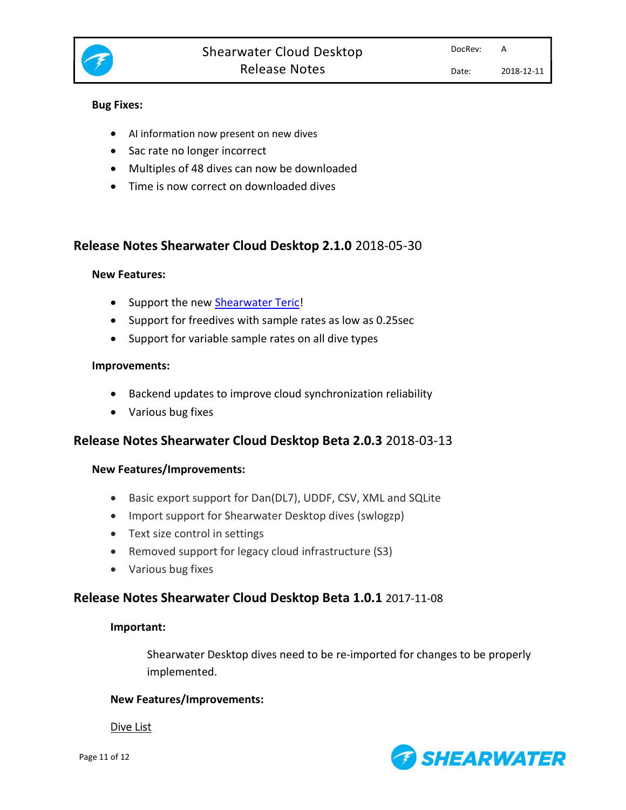

### Bug Fixes:

- AI information now present on new dives
- Sac rate no longer incorrect
- Multiples of 48 dives can now be downloaded
- Time is now correct on downloaded dives

## Release Notes Shearwater Cloud Desktop 2.1.0 2018-05-30

### New Features:

- Support the new **Shearwater Teric!**
- Support for freedives with sample rates as low as 0.25sec
- Support for variable sample rates on all dive types

### Improvements:

- Backend updates to improve cloud synchronization reliability
- Various bug fixes

## Release Notes Shearwater Cloud Desktop Beta 2.0.3 2018-03-13

## New Features/Improvements:

- Basic export support for Dan(DL7), UDDF, CSV, XML and SQLite
- Import support for Shearwater Desktop dives (swlogzp)
- Text size control in settings
- Removed support for legacy cloud infrastructure (S3)
- Various bug fixes

## Release Notes Shearwater Cloud Desktop Beta 1.0.1 2017-11-08

### Important:

Shearwater Desktop dives need to be re-imported for changes to be properly implemented.

## New Features/Improvements:

Dive List